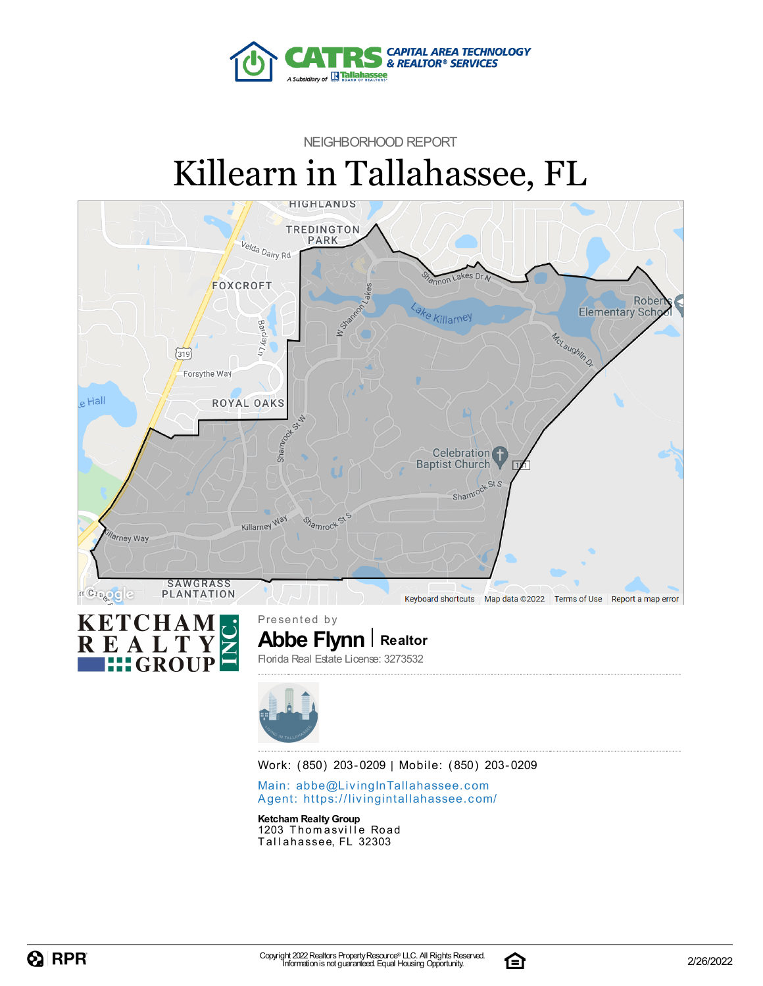

## NEIGHBORHOOD REPORT Killearn in Tallahassee, FL





**Abbe Flynn Realtor** Florida Real Estate License: 3273532



Work: (850) 203-0209 | Mobile: (850) 203-0209

Main: abbe@LivingInTallaha[sse](mailto:abbe@LivingInTallahassee.com)e.com Agent: https://livingintallaha[sse](https://livingintallahassee.com/)e.com/

**Ketcham RealtyGroup** 1203 Thomasville Road Tallahassee, FL 32303

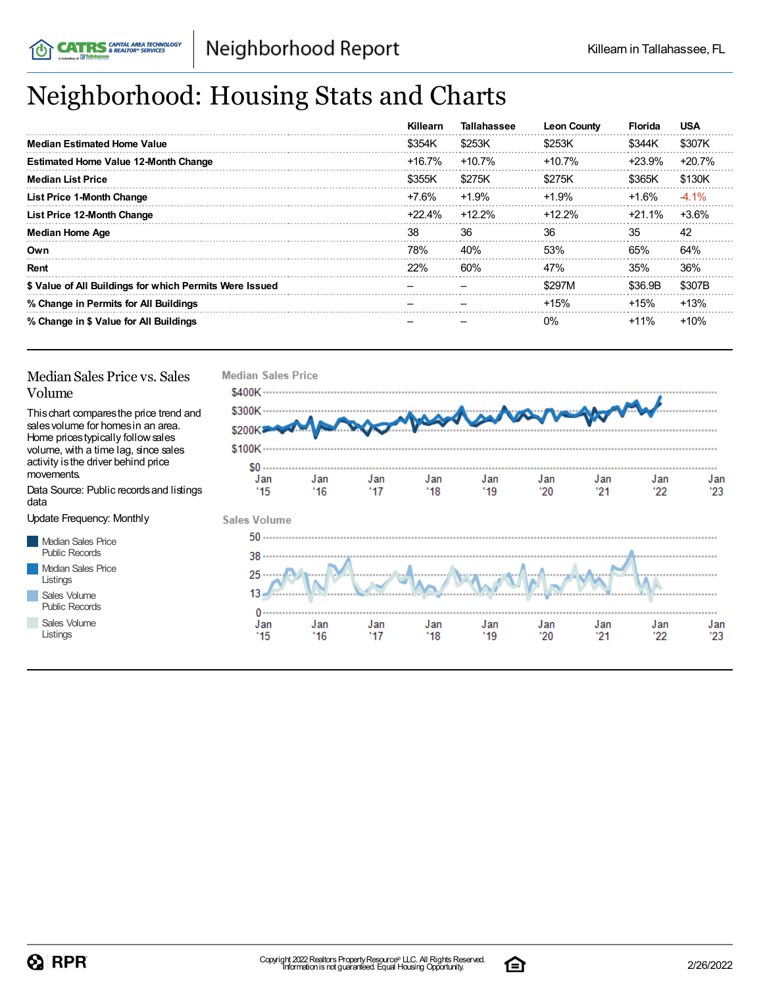## Neighborhood: Housing Stats and Charts

|                                                         | <b>Killearn</b> | <b>Tallahassee</b> | <b>Leon County</b> | <b>Florida</b> | <b>USA</b> |
|---------------------------------------------------------|-----------------|--------------------|--------------------|----------------|------------|
| <b>Median Estimated Home Value</b>                      | \$354K          | \$253K             | \$253K             | \$344K         | \$307K     |
| <b>Estimated Home Value 12-Month Change</b>             | $+16.7\%$       | $+10.7%$           | +10.7%             | +23.9%         | $+20.7%$   |
| <b>Median List Price</b>                                | \$355K          | \$275K             | \$275K             | \$365K         | \$130K     |
| <b>List Price 1-Month Change</b>                        | $+7.6%$         | $+1.9%$            | $+1.9%$            | +1.6%          | $-4.1\%$   |
| List Price 12-Month Change                              | +22.4%          | $+12.2%$           | $+12.2\%$          | +21.1%         | $+3.6%$    |
| <b>Median Home Age</b>                                  | 38              | 36                 | 36                 | 35             | 42         |
| Own                                                     | 78%             | 40%                | 53%                | 65%            | 64%        |
| Rent                                                    | 22%             | 60%                | 47%                | 35%            | 36%        |
| \$ Value of All Buildings for which Permits Were Issued |                 |                    | \$297M             | \$36.9B        | \$307B     |
| % Change in Permits for All Buildings                   |                 |                    | $+15%$             | $+15%$         | $+13%$     |
| % Change in \$ Value for All Buildings                  |                 |                    | $0\%$              | $+11\%$        | $+10%$     |

#### Median Sales Price vs. Sales Volume

Thischart comparesthe price trend and salesvolume for homesin an area. Home pricestypically followsales volume, with a time lag, since sales activity is the driver behind price movements.

Data Source: Public recordsand listings data

Update Frequency: Monthly

Median Sales Price Public Records Median Sales Price Listings Sales Volume Public Records

Sales Volume Listings



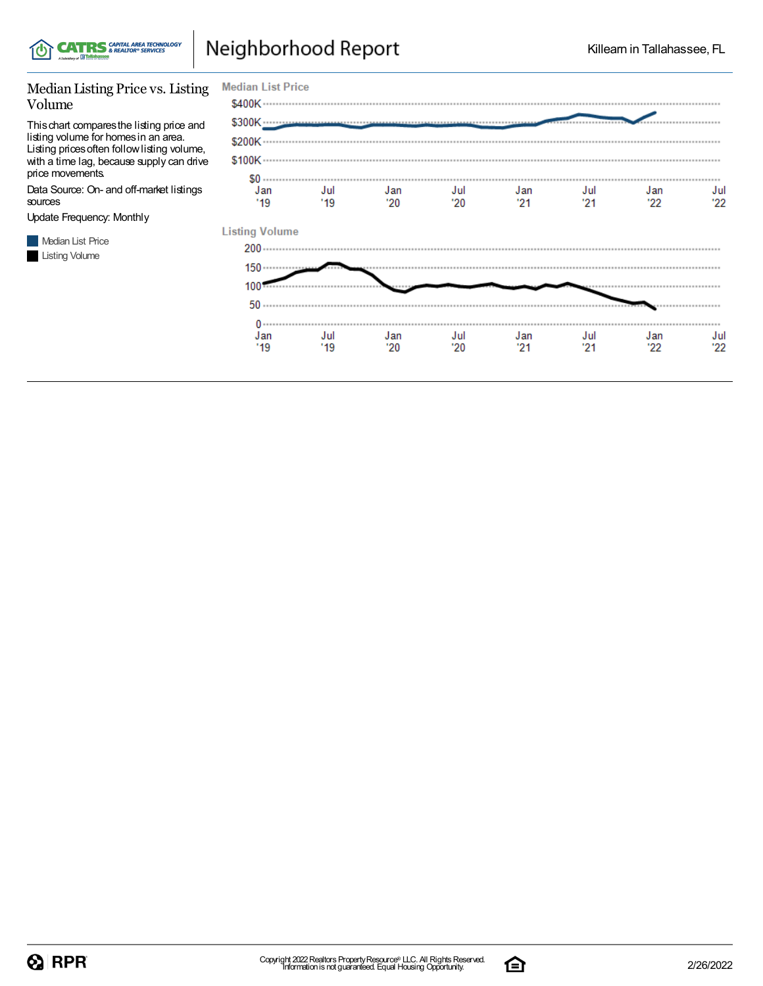

## Neighborhood Report

#### Median Listing Price vs. Listing Volume

Thischart comparesthe listing price and listing volume for homesin an area. Listing pricesoften followlisting volume, with a time lag, because supply can drive price movements.

Data Source: On- and off-market listings sources

Update Frequency: Monthly

Median List Price **Listing Volume** 

| <b>Median List Price</b>       |             |             |            |             |             |            |            |
|--------------------------------|-------------|-------------|------------|-------------|-------------|------------|------------|
|                                |             |             |            |             |             |            |            |
|                                |             |             |            |             |             |            |            |
|                                |             |             |            |             |             |            |            |
|                                |             |             |            |             |             |            |            |
| $$0 \dots$<br>Jan<br>"19"      | Jul<br>"19" | Jan<br>"20" | Jul<br>'20 | Jan<br>"21" | Jul<br>"21" | Jan<br>'22 | Jul<br>22' |
| <b>Listing Volume</b><br>$200$ |             |             |            |             |             |            |            |
| $150 \cdots$                   |             |             |            |             |             |            |            |
| 100'                           |             |             |            |             |             |            |            |
| 50                             |             |             |            |             |             |            |            |
| $0 \cdots$<br>Jan<br>'19       | Jul<br>'19  | Jan<br>"20" | Jul<br>'20 | Jan<br>"21" | Jul<br>'21  | Jan<br>'22 | Jul<br>'22 |

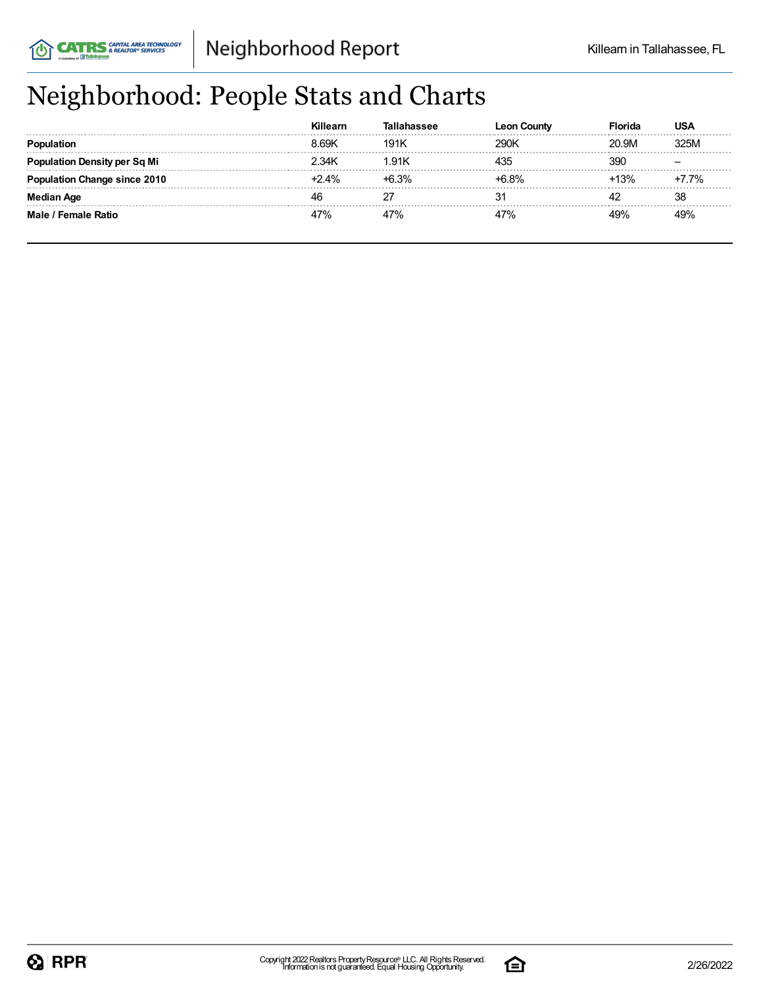## Neighborhood: People Stats and Charts

|                                     | 1.69K   | 191K        | 290K          | 20.9M  | 325M    |
|-------------------------------------|---------|-------------|---------------|--------|---------|
| tion Density per Sq Mi              | 2 34K   | $Q_1$       | 435           | 39C    |         |
| tion Change since 2010 <sup>.</sup> | $+2.4%$ | <b>6.3%</b> | <u>ኑፍ ጸ% </u> | $-13%$ | $+7.7%$ |
| Aae                                 |         |             |               |        | 38      |
| Male / Female Ratio                 |         |             | 47%           | 19%    |         |

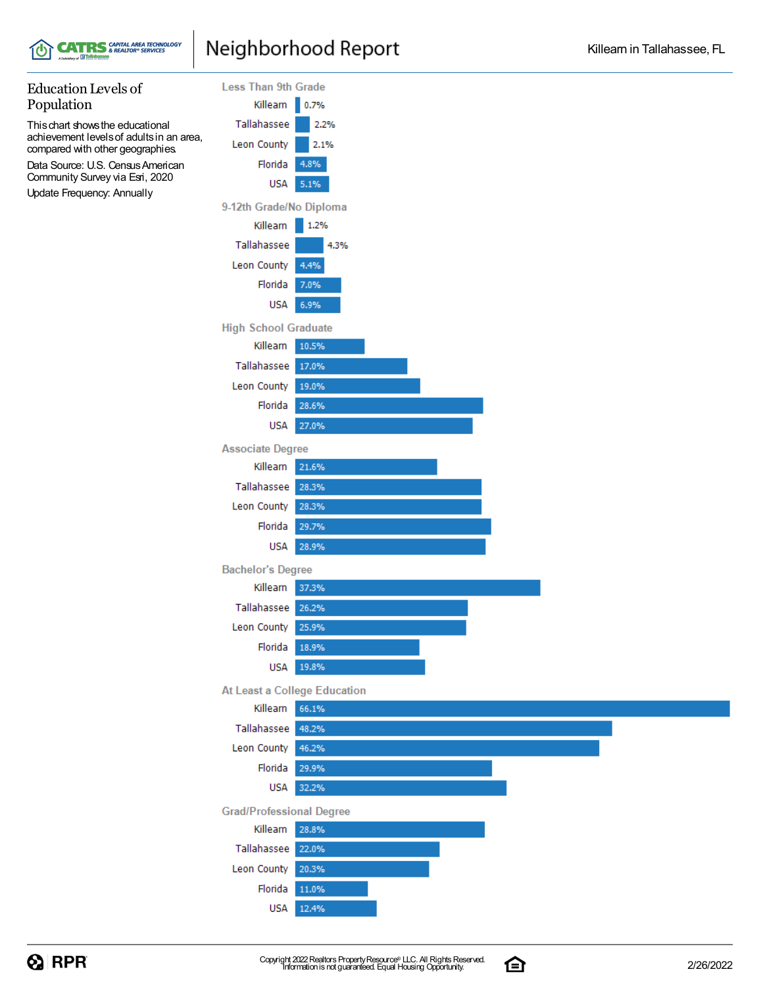

### Neighborhood Report

#### Education Levels of **Less Than 9th Grade** Population Killearn 0.7% Thischart showsthe educational Tallahassee 2.2% achievement levelsof adultsin an area, Leon County 2.1% compared with other geographies. Florida 4.8% Data Source: U.S. Census American Community Survey via Esri, 2020 **USA** 5.1% Update Frequency: Annually 9-12th Grade/No Diploma Killearn 1.2% 4.3% Tallahassee Leon County 4.4% Florida 7.0% **USA** 6.9% **High School Graduate** Killearn 10.5% Tallahassee 17.0% Leon County 19.0% Florida 28.6% **USA** 27.0% **Associate Degree** Killearn 21.6% Tallahassee 28.3% Leon County 28.3% Florida 29.7% **USA** 28.9% **Bachelor's Degree** Killearn 37.3% Tallahassee 26.2% Leon County 25.9% Florida 18.9% **USA** 19.8% At Least a College Education Killearn 66.1% Tallahassee 48.2% Leon County 46.2% Florida 29.9% **USA** 32.2% **Grad/Professional Degree** Killearn 28.8% Tallahassee 22.0% Leon County 20.3% Florida 11.0% **USA** 12.4%

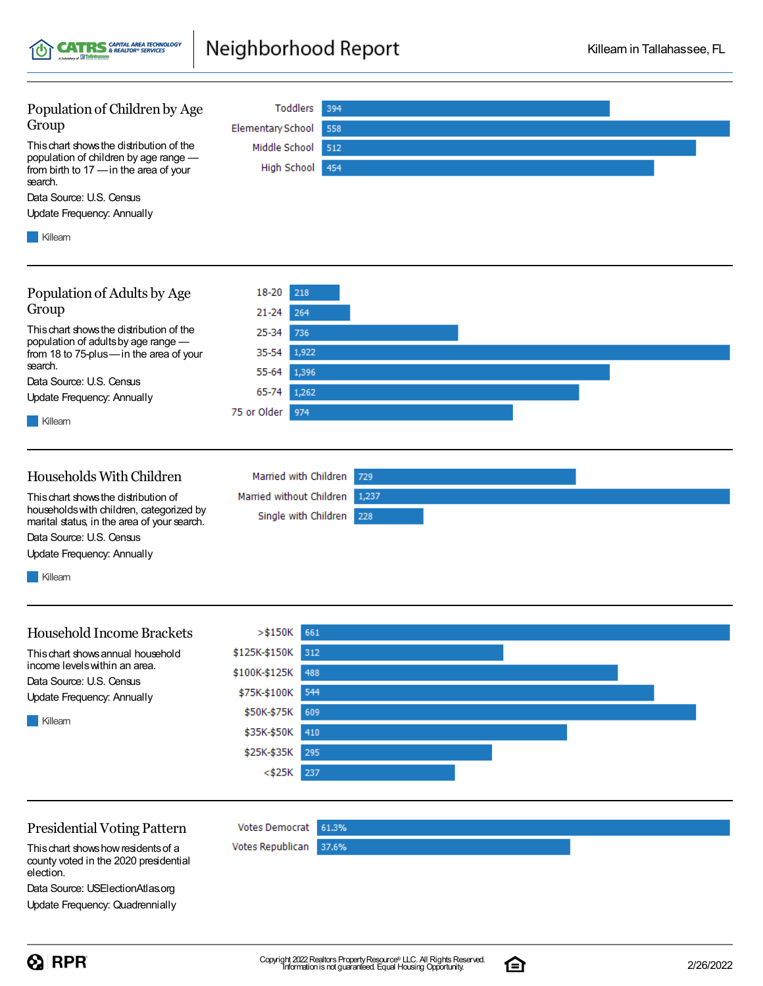Population of Children by Age Toddlers 394 Group **Elementary School** 558 Thischart showsthe distribution of the Middle School 512 population of children by age range — High School 454 from birth to 17 —in the area of your search. Data Source: U.S. Census Update Frequency: Annually **Killearn** Population of Adults by Age 18-20 218 Group  $21 - 24$ 264 Thischart showsthe distribution of the 25-34 736 population of adultsby age range — 35-54 1,922 from 18 to 75-plus—in the area of your search. 55-64 1,396 Data Source: U.S. Census 65-74 1,262 Update Frequency: Annually 75 or Older 974 **Killearn** Households WithChildren Married with Children 729 Thischart showsthe distribution of Married without Children 1,237 householdswith children, categorized by Single with Children 228 marital status, in the area of your search. Data Source: U.S. Census Update Frequency: Annually **Killearn**  $> $150K$  661 Household Income Brackets \$125K-\$150K Thischart showsannual household 312 income levelswithin an area. \$100K-\$125K 488 Data Source: U.S. Census \$75K-\$100K 544 Update Frequency: Annually \$50K-\$75K 609 **Killearn** \$35K-\$50K 410 \$25K-\$35K 295  $<$ \$25K 237

Neighborhood Report

#### Presidential Voting Pattern

**CATRS** SAPITAL AREA TECHNOLOGY

Thischart showshowresidentsof a county voted in the 2020 presidential election.

Data Source: USElectionAtlas.org Update Frequency: Quadrennially **Votes Democrat** 

Votes Republican

61.3%

37.6%

Killearn in Tallahassee, FL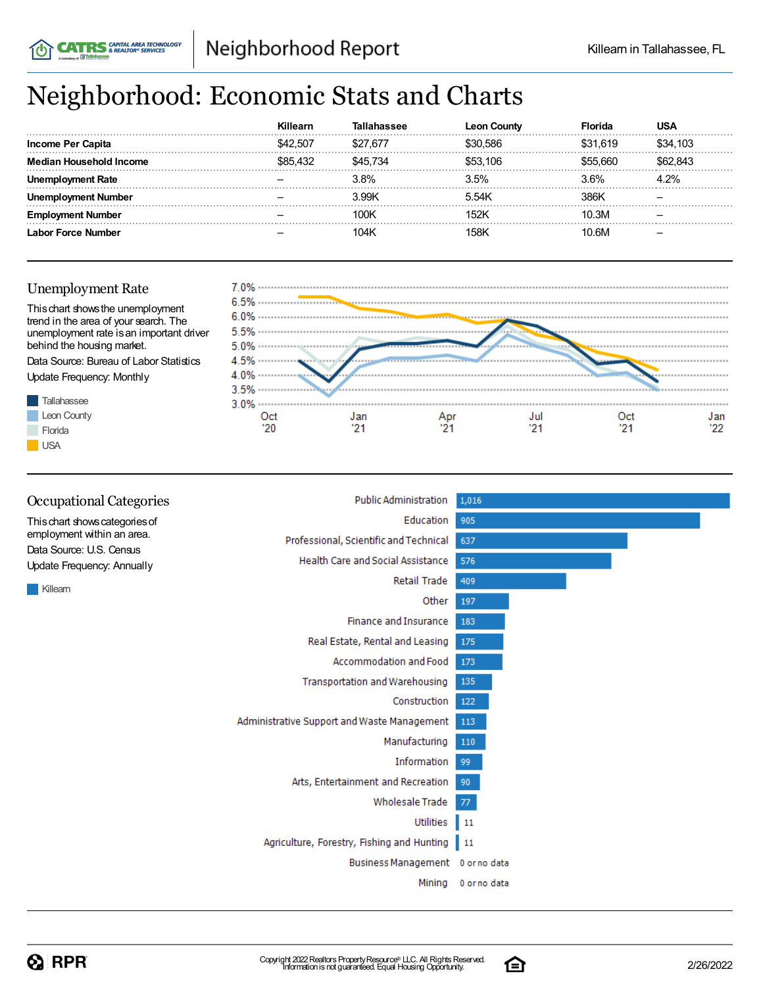# Neighborhood: Economic Stats and Charts

|                    | Killearn |          | n Countv<br>Leor | Florida  |          |
|--------------------|----------|----------|------------------|----------|----------|
| Income Per Capita  | \$42,507 | \$27.677 | 586 S.           | \$31.619 | \$34.103 |
| Household Income   |          | \$45 734 | \$53.106         | ି ନେମ    | 843      |
| ployment Rate      |          | 3.8%     | 3.5%             | 3.6%     | 4.2%     |
| ment Number        |          | 3.99K    | 5.54K            | 386K     |          |
| nent Number        |          | 100K     | <sup>1</sup> 52k | 10.3M    |          |
| Labor Force Number |          | 104K     | 158K             | 10.6M    |          |

#### Unemployment Rate

**CATRS** & REALTOR® SERVICES



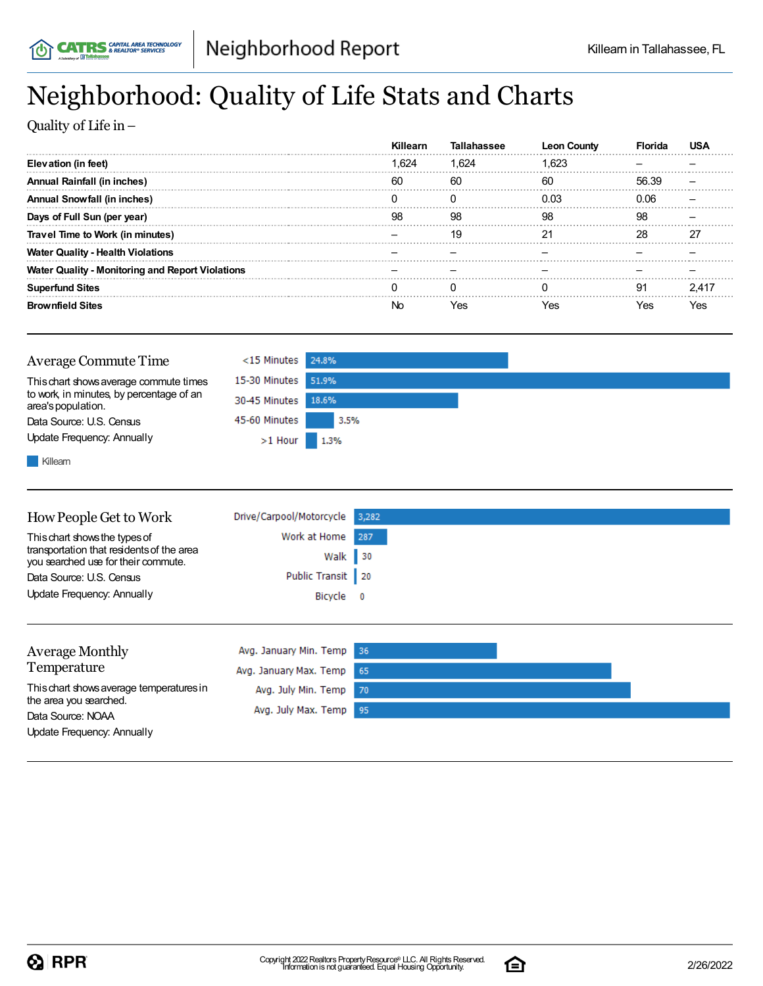## Neighborhood: Quality of Life Stats and Charts

Quality of Life in–

|                                                         | Killearn | Tallahassee | Leon  |       |  |
|---------------------------------------------------------|----------|-------------|-------|-------|--|
| Elevation (in feet)                                     | 1.624    | 1.624       | 1.623 |       |  |
| Annual Rainfall (in inches)                             | 60       | 60          | 60    | 56.39 |  |
| Annual Snowfall (in inches)                             |          |             | በ በ3  | ገ በ6  |  |
| Days of Full Sun (per year)                             | 98       | 98          | 98    | 98    |  |
| Travel Time to Work (in minutes)                        |          | 19          |       | 28    |  |
| <b>Water Quality - Health Violations</b>                |          |             |       |       |  |
| <b>Water Quality - Monitoring and Report Violations</b> |          |             |       |       |  |
| <b>Superfund Sites</b>                                  |          |             |       | Q1    |  |
| <b>Brownfield Sites</b>                                 |          |             | Yes   | 'es   |  |

| Average Commute Time                                           | $<$ 15 Minutes 24.8% |      |  |
|----------------------------------------------------------------|----------------------|------|--|
| This chart shows average commute times                         | 15-30 Minutes 51.9%  |      |  |
| to work, in minutes, by percentage of an<br>area's population. | 30-45 Minutes 18.6%  |      |  |
| Data Source: U.S. Census                                       | 45-60 Minutes        | 3.5% |  |
| Update Frequency: Annually                                     | $>1$ Hour 1.3%       |      |  |
| Killeam                                                        |                      |      |  |

| How People Get to Work                                                           | Drive/Carpool/Motorcycle | 3,282 |  |
|----------------------------------------------------------------------------------|--------------------------|-------|--|
| This chart shows the types of                                                    | Work at Home             | 287   |  |
| transportation that residents of the area<br>you searched use for their commute. | Walk                     | 30    |  |
| Data Source: U.S. Census                                                         | Public Transit   20      |       |  |
| Update Frequency: Annually                                                       | Bicycle 0                |       |  |
|                                                                                  |                          |       |  |
|                                                                                  |                          |       |  |
| <b>Average Monthly</b>                                                           | Avg. January Min. Temp   | -36   |  |
| Temperature                                                                      | Avg. January Max. Temp   | 65    |  |
| This chart shows average temperatures in<br>the area you searched.               | Avg. July Min. Temp      | 70    |  |
| Data Source: NOAA                                                                | Avg. July Max. Temp      | 95    |  |

Update Frequency: Annually

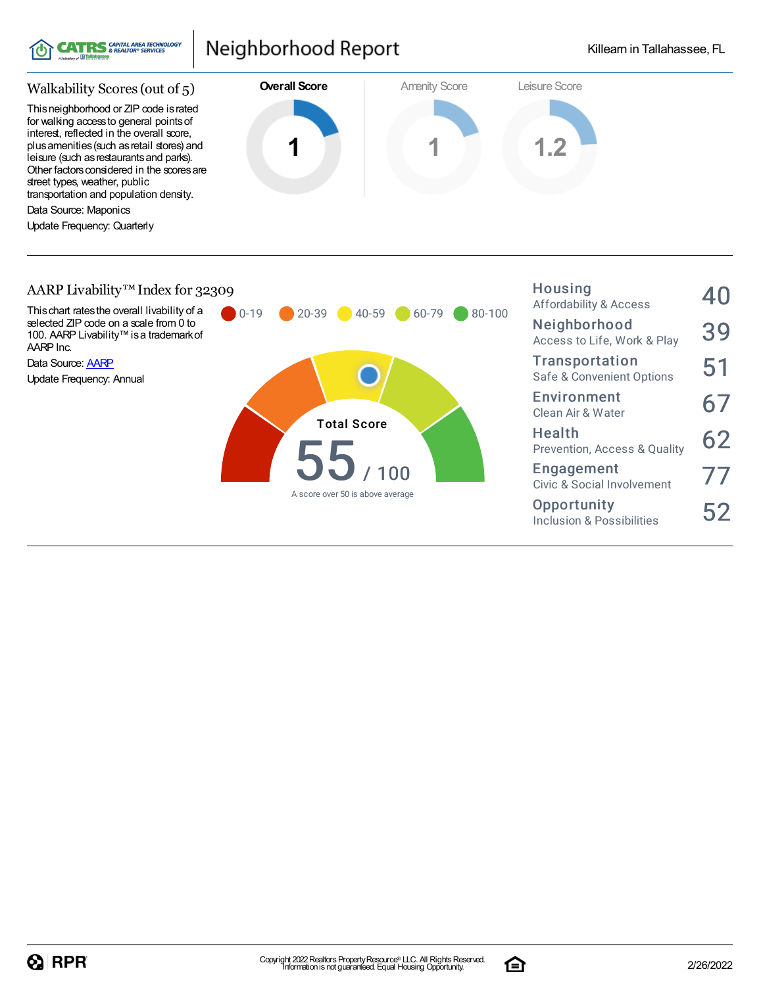

### Neighborhood Report



#### AARP Livability™Index for 32309